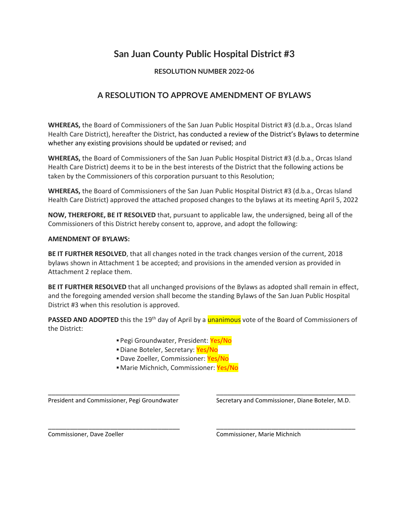# **San Juan County Public Hospital District #3**

### **RESOLUTION NUMBER 2022-06**

## **A RESOLUTION TO APPROVE AMENDMENT OF BYLAWS**

**WHEREAS,** the Board of Commissioners of the San Juan Public Hospital District #3 (d.b.a., Orcas Island Health Care District), hereafter the District, has conducted a review of the District's Bylaws to determine whether any existing provisions should be updated or revised; and

**WHEREAS,** the Board of Commissioners of the San Juan Public Hospital District #3 (d.b.a., Orcas Island Health Care District) deems it to be in the best interests of the District that the following actions be taken by the Commissioners of this corporation pursuant to this Resolution;

**WHEREAS,** the Board of Commissioners of the San Juan Public Hospital District #3 (d.b.a., Orcas Island Health Care District) approved the attached proposed changes to the bylaws at its meeting April 5, 2022

**NOW, THEREFORE, BE IT RESOLVED** that, pursuant to applicable law, the undersigned, being all of the Commissioners of this District hereby consent to, approve, and adopt the following:

### **AMENDMENT OF BYLAWS:**

**BE IT FURTHER RESOLVED**, that all changes noted in the track changes version of the current, 2018 bylaws shown in Attachment 1 be accepted; and provisions in the amended version as provided in Attachment 2 replace them.

**BE IT FURTHER RESOLVED** that all unchanged provisions of the Bylaws as adopted shall remain in effect, and the foregoing amended version shall become the standing Bylaws of the San Juan Public Hospital District #3 when this resolution is approved.

**PASSED AND ADOPTED** this the 19<sup>th</sup> day of April by a **unanimous** vote of the Board of Commissioners of the District:

\_\_\_\_\_\_\_\_\_\_\_\_\_\_\_\_\_\_\_\_\_\_\_\_\_\_\_\_\_\_\_\_\_\_\_\_ \_\_\_\_\_\_\_\_\_\_\_\_\_\_\_\_\_\_\_\_\_\_\_\_\_\_\_\_\_\_\_\_\_\_\_\_\_\_

\_\_\_\_\_\_\_\_\_\_\_\_\_\_\_\_\_\_\_\_\_\_\_\_\_\_\_\_\_\_\_\_\_\_\_\_ \_\_\_\_\_\_\_\_\_\_\_\_\_\_\_\_\_\_\_\_\_\_\_\_\_\_\_\_\_\_\_\_\_\_\_\_\_\_

- **Pegi Groundwater, President: Yes/No**
- **· Diane Boteler, Secretary: Yes/No**
- **Dave Zoeller, Commissioner: Yes/No**
- **E** Marie Michnich, Commissioner: Yes/No

President and Commissioner, Pegi Groundwater Secretary and Commissioner, Diane Boteler, M.D.

Commissioner, Dave Zoeller Commissioner, Marie Michnich